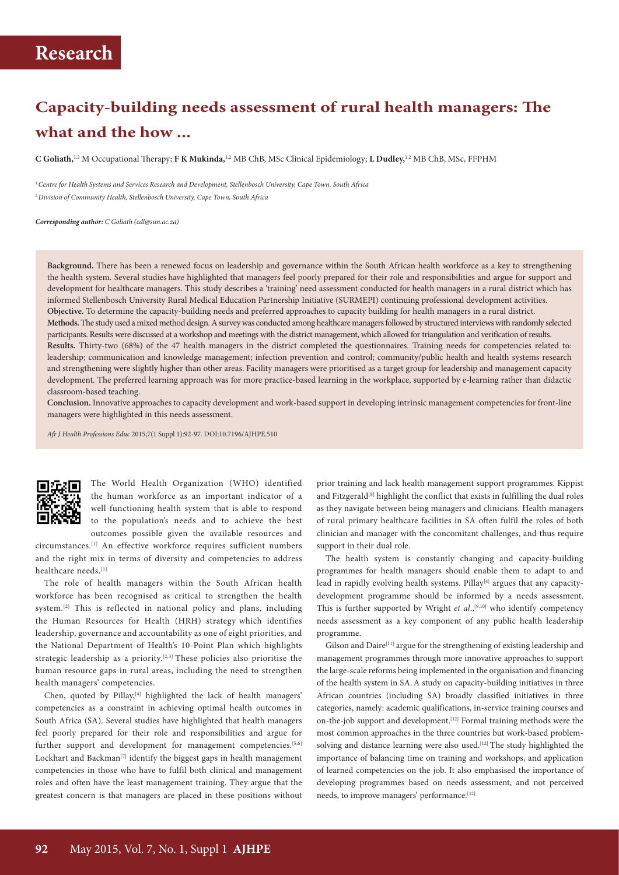## **Capacity-building needs assessment of rural health managers: The what and the how ...**

**C Goliath,**1,2 M Occupational Therapy; **F K Mukinda,**1,2 MB ChB, MSc Clinical Epidemiology; **L Dudley,**1,2 MB ChB, MSc, FFPHM

<sup>1</sup>*Centre for Health Systems and Services Research and Development, Stellenbosch University, Cape Town, South Africa* <sup>2</sup>*Division of Community Health, Stellenbosch University, Cape Town, South Africa*

*Corresponding author: C Goliath (cdl@sun.ac.za)*

**Background.** There has been a renewed focus on leadership and governance within the South African health workforce as a key to strengthening the health system. Several studies have highlighted that managers feel poorly prepared for their role and responsibilities and argue for support and development for healthcare managers. This study describes a 'training' need assessment conducted for health managers in a rural district which has informed Stellenbosch University Rural Medical Education Partnership Initiative (SURMEPI) continuing professional development activities. **Objective.** To determine the capacity-building needs and preferred approaches to capacity building for health managers in a rural district. **Methods.** The study used a mixed method design. A survey was conducted among healthcare managers followed by structured interviews with randomly selected participants. Results were discussed at a workshop and meetings with the district management, which allowed for triangulation and verification of results. **Results.** Thirty-two (68%) of the 47 health managers in the district completed the questionnaires. Training needs for competencies related to: leadership; communication and knowledge management; infection prevention and control; community/public health and health systems research and strengthening were slightly higher than other areas. Facility managers were prioritised as a target group for leadership and management capacity development. The preferred learning approach was for more practice-based learning in the workplace, supported by e-learning rather than didactic classroom-based teaching.

**Conclusion.** Innovative approaches to capacity development and work-based support in developing intrinsic management competencies for front-line managers were highlighted in this needs assessment.

*Afr J Health Professions Educ* 2015;7(1 Suppl 1):92-97. DOI:10.7196/AJHPE.510



The World Health Organization (WHO) identified the human workforce as an important indicator of a well-functioning health system that is able to respond to the population's needs and to achieve the best outcomes possible given the available resources and

circumstances.[1] An effective workforce requires sufficient numbers and the right mix in terms of diversity and competencies to address healthcare needs.[1]

The role of health managers within the South African health workforce has been recognised as critical to strengthen the health system.[2] This is reflected in national policy and plans, including the Human Resources for Health (HRH) strategy which identifies leadership, governance and accountability as one of eight priorities, and the National Department of Health's 10-Point Plan which highlights strategic leadership as a priority.<sup>[2,3]</sup> These policies also prioritise the human resource gaps in rural areas, including the need to strengthen health managers' competencies.

Chen, quoted by Pillay,<sup>[4]</sup> highlighted the lack of health managers' competencies as a constraint in achieving optimal health outcomes in South Africa (SA). Several studies have highlighted that health managers feel poorly prepared for their role and responsibilities and argue for further support and development for management competencies.<sup>[5,6]</sup> Lockhart and Backman<sup>[7]</sup> identify the biggest gaps in health management competencies in those who have to fulfil both clinical and management roles and often have the least management training. They argue that the greatest concern is that managers are placed in these positions without

prior training and lack health management support programmes. Kippist and Fitzgerald<sup>[8]</sup> highlight the conflict that exists in fulfilling the dual roles as they navigate between being managers and clinicians. Health managers of rural primary healthcare facilities in SA often fulfil the roles of both clinician and manager with the concomitant challenges, and thus require support in their dual role.

The health system is constantly changing and capacity-building programmes for health managers should enable them to adapt to and lead in rapidly evolving health systems. Pillay<sup>[4]</sup> argues that any capacitydevelopment programme should be informed by a needs assessment. This is further supported by Wright *et al.*,<sup>[9,10]</sup> who identify competency needs assessment as a key component of any public health leadership programme.

Gilson and Daire<sup>[11]</sup> argue for the strengthening of existing leadership and management programmes through more innovative approaches to support the large-scale reforms being implemented in the organisation and financing of the health system in SA.A study on capacity-building initiatives in three African countries (including SA) broadly classified initiatives in three categories, namely: academic qualifications, in-service training courses and on-the-job support and development.[12] Formal training methods were the most common approaches in the three countries but work-based problemsolving and distance learning were also used.<sup>[12]</sup> The study highlighted the importance of balancing time on training and workshops, and application of learned competencies on the job. It also emphasised the importance of developing programmes based on needs assessment, and not perceived needs, to improve managers' performance.<sup>[12]</sup>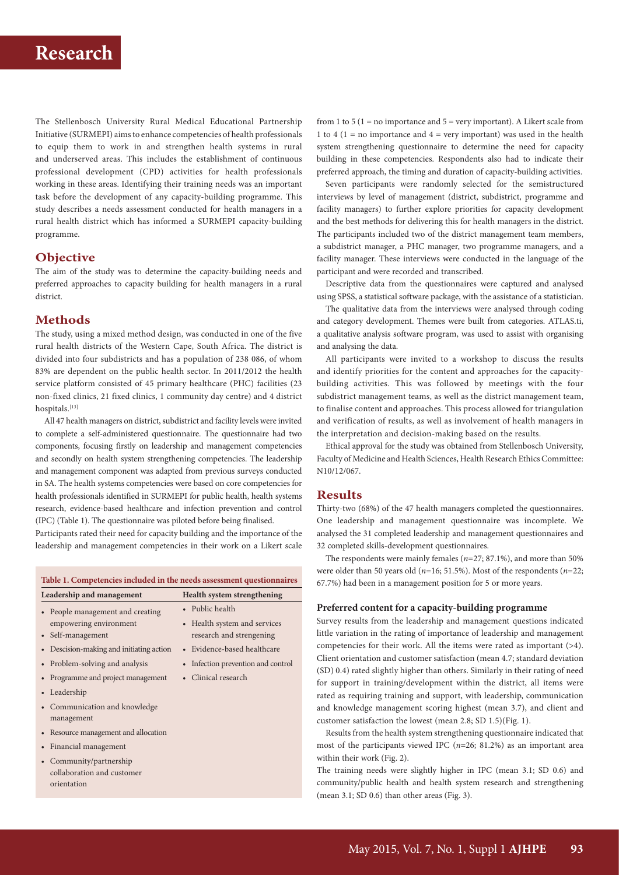The Stellenbosch University Rural Medical Educational Partnership Initiative (SURMEPI) aims to enhance competencies of health professionals to equip them to work in and strengthen health systems in rural and underserved areas. This includes the establishment of continuous professional development (CPD) activities for health professionals working in these areas. Identifying their training needs was an important task before the development of any capacity-building programme. This study describes a needs assessment conducted for health managers in a rural health district which has informed a SURMEPI capacity-building programme.

### **Objective**

The aim of the study was to determine the capacity-building needs and preferred approaches to capacity building for health managers in a rural district.

### **Methods**

The study, using a mixed method design, was conducted in one of the five rural health districts of the Western Cape, South Africa. The district is divided into four subdistricts and has a population of 238 086, of whom 83% are dependent on the public health sector. In 2011/2012 the health service platform consisted of 45 primary healthcare (PHC) facilities (23 non-fixed clinics, 21 fixed clinics, 1 community day centre) and 4 district hospitals.[13]

All 47 health managers on district, subdistrict and facility levels were invited to complete a self-administered questionnaire. The questionnaire had two components, focusing firstly on leadership and management competencies and secondly on health system strengthening competencies. The leadership and management component was adapted from previous surveys conducted in SA. The health systems competencies were based on core competencies for health professionals identified in SURMEPI for public health, health systems research, evidence-based healthcare and infection prevention and control (IPC) (Table 1). The questionnaire was piloted before being finalised.

Participants rated their need for capacity building and the importance of the leadership and management competencies in their work on a Likert scale

**Table 1. Competencies included in the needs assessment questionnaires Leadership and management Health system strengthening** • People management and creating empowering environment • Self-management • Public health • Health system and services research and strengening • Descision-making and initiating action • Evidence-based healthcare • Problem-solving and analysis • Infection prevention and control • Programme and project management • Clinical research • Leadership • Communication and knowledge management • Resource management and allocation • Financial management • Community/partnership collaboration and customer orientation

from 1 to 5 ( $1 =$  no importance and  $5 =$  very important). A Likert scale from 1 to 4 (1 = no importance and  $4$  = very important) was used in the health system strengthening questionnaire to determine the need for capacity building in these competencies. Respondents also had to indicate their preferred approach, the timing and duration of capacity-building activities.

Seven participants were randomly selected for the semistructured interviews by level of management (district, subdistrict, programme and facility managers) to further explore priorities for capacity development and the best methods for delivering this for health managers in the district. The participants included two of the district management team members, a subdistrict manager, a PHC manager, two programme managers, and a facility manager. These interviews were conducted in the language of the participant and were recorded and transcribed.

Descriptive data from the questionnaires were captured and analysed using SPSS, a statistical software package, with the assistance of a statistician.

The qualitative data from the interviews were analysed through coding and category development. Themes were built from categories. ATLAS.ti, a qualitative analysis software program, was used to assist with organising and analysing the data.

All participants were invited to a workshop to discuss the results and identify priorities for the content and approaches for the capacitybuilding activities. This was followed by meetings with the four subdistrict management teams, as well as the district management team, to finalise content and approaches. This process allowed for triangulation and verification of results, as well as involvement of health managers in the interpretation and decision-making based on the results.

Ethical approval for the study was obtained from Stellenbosch University, Faculty of Medicine and Health Sciences, Health Research Ethics Committee: N10/12/067.

#### **Results**

Thirty-two (68%) of the 47 health managers completed the questionnaires. One leadership and management questionnaire was incomplete. We analysed the 31 completed leadership and management questionnaires and 32 completed skills-development questionnaires.

The respondents were mainly females (*n*=27; 87.1%), and more than 50% were older than 50 years old (*n*=16; 51.5%). Most of the respondents (*n*=22; 67.7%) had been in a management position for 5 or more years.

#### **Preferred content for a capacity-building programme**

Survey results from the leadership and management questions indicated little variation in the rating of importance of leadership and management competencies for their work. All the items were rated as important (>4). Client orientation and customer satisfaction (mean 4.7; standard deviation (SD) 0.4) rated slightly higher than others. Similarly in their rating of need for support in training/development within the district, all items were rated as requiring training and support, with leadership, communication and knowledge management scoring highest (mean 3.7), and client and customer satisfaction the lowest (mean 2.8; SD 1.5)(Fig. 1).

Results from the health system strengthening questionnaire indicated that most of the participants viewed IPC (*n*=26; 81.2%) as an important area within their work (Fig. 2).

The training needs were slightly higher in IPC (mean 3.1; SD 0.6) and community/public health and health system research and strengthening (mean 3.1; SD 0.6) than other areas (Fig. 3).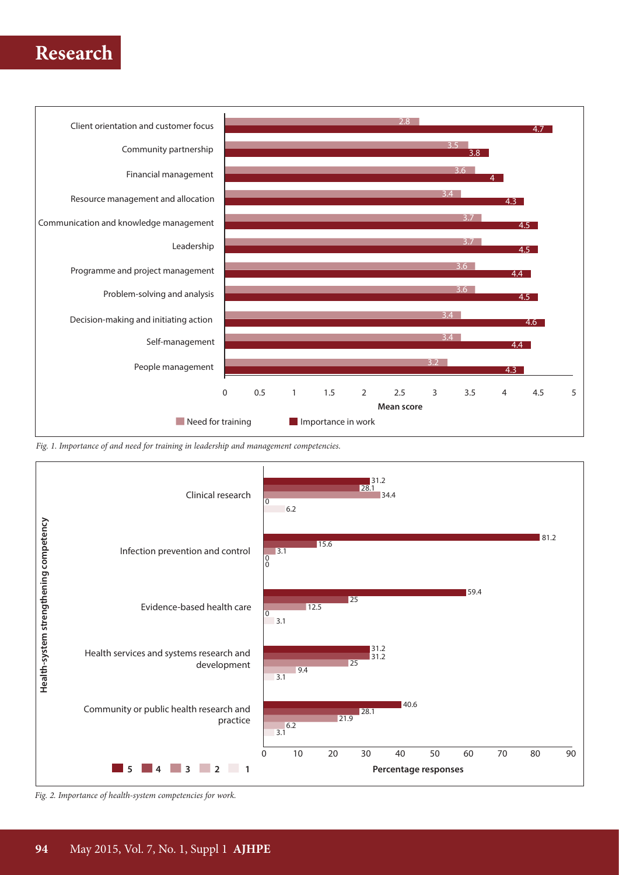

*Fig. 1. Importance of and need for training in leadership and management competencies.*



*Fig. 2. Importance of health-system competencies for work.*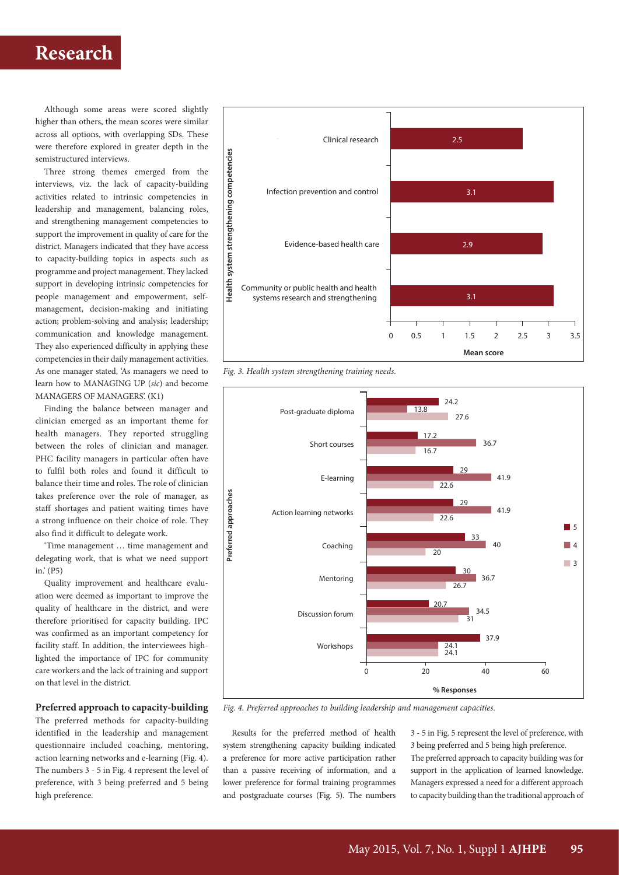Although some areas were scored slightly higher than others, the mean scores were similar across all options, with overlapping SDs. These were therefore explored in greater depth in the semistructured interviews.

Three strong themes emerged from the interviews, viz. the lack of capacity-building activities related to intrinsic competencies in leadership and management, balancing roles, and strengthening management competencies to support the improvement in quality of care for the district. Managers indicated that they have access to capacity-building topics in aspects such as programme and project management. They lacked support in developing intrinsic competencies for people management and empowerment, selfmanagement, decision-making and initiating action; problem-solving and analysis; leadership; communication and knowledge management. They also experienced difficulty in applying these competencies in their daily management activities. As one manager stated, 'As managers we need to learn how to MANAGING UP (*sic*) and become MANAGERS OF MANAGERS'. (K1)

Finding the balance between manager and clinician emerged as an important theme for health managers. They reported struggling between the roles of clinician and manager. PHC facility managers in particular often have to fulfil both roles and found it difficult to balance their time and roles. The role of clinician takes preference over the role of manager, as staff shortages and patient waiting times have a strong influence on their choice of role. They also find it difficult to delegate work.

'Time management … time management and delegating work, that is what we need support in.' (P5)

Quality improvement and healthcare evaluation were deemed as important to improve the quality of healthcare in the district, and were therefore prioritised for capacity building. IPC was confirmed as an important competency for facility staff. In addition, the interviewees highlighted the importance of IPC for community care workers and the lack of training and support on that level in the district.

### **Preferred approach to capacity-building**

The preferred methods for capacity-building identified in the leadership and management questionnaire included coaching, mentoring, action learning networks and e-learning (Fig. 4). The numbers 3 - 5 in Fig. 4 represent the level of preference, with 3 being preferred and 5 being high preference.



*Fig. 3. Health system strengthening training needs.*



*Fig. 4. Preferred approaches to building leadership and management capacities*.

Results for the preferred method of health system strengthening capacity building indicated a preference for more active participation rather than a passive receiving of information, and a lower preference for formal training programmes and postgraduate courses (Fig. 5). The numbers

3 - 5 in Fig. 5 represent the level of preference, with 3 being preferred and 5 being high preference. The preferred approach to capacity building was for support in the application of learned knowledge. Managers expressed a need for a different approach to capacity building than the traditional approach of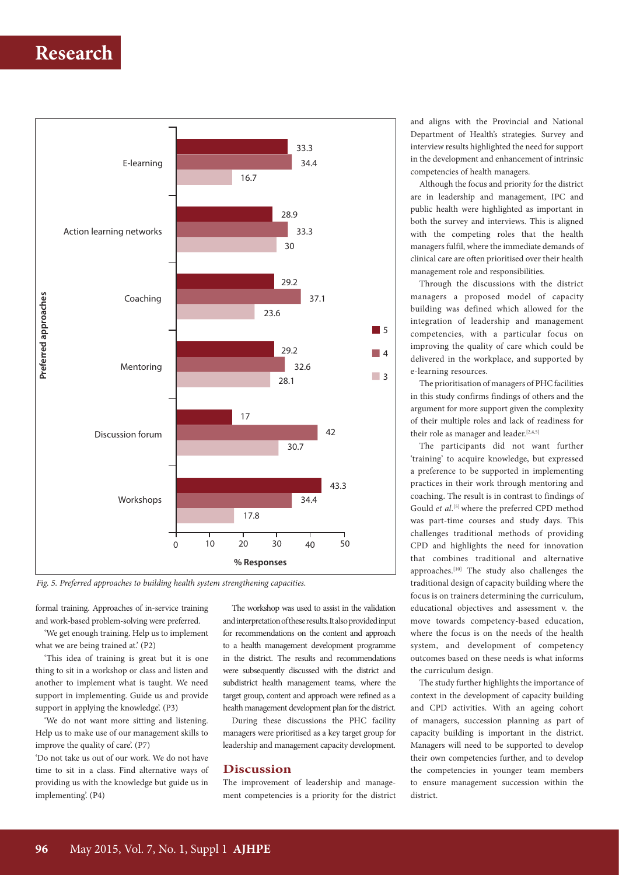

*Fig. 5. Preferred approaches to building health system strengthening capacities.*

formal training. Approaches of in-service training and work-based problem-solving were preferred.

'We get enough training. Help us to implement what we are being trained at.' (P2)

'This idea of training is great but it is one thing to sit in a workshop or class and listen and another to implement what is taught. We need support in implementing. Guide us and provide support in applying the knowledge'. (P3)

'We do not want more sitting and listening. Help us to make use of our management skills to improve the quality of care'. (P7)

'Do not take us out of our work. We do not have time to sit in a class. Find alternative ways of providing us with the knowledge but guide us in implementing'. (P4)

The workshop was used to assist in the validation and interpretation of these results. It also provided input for recommendations on the content and approach to a health management development programme in the district. The results and recommendations were subsequently discussed with the district and subdistrict health management teams, where the target group, content and approach were refined as a health management development plan for the district.

During these discussions the PHC facility managers were prioritised as a key target group for leadership and management capacity development.

#### **Discussion**

The improvement of leadership and management competencies is a priority for the district and aligns with the Provincial and National Department of Health's strategies. Survey and interview results highlighted the need for support in the development and enhancement of intrinsic competencies of health managers.

Although the focus and priority for the district are in leadership and management, IPC and public health were highlighted as important in both the survey and interviews. This is aligned with the competing roles that the health managers fulfil, where the immediate demands of clinical care are often prioritised over their health management role and responsibilities.

Through the discussions with the district managers a proposed model of capacity building was defined which allowed for the integration of leadership and management competencies, with a particular focus on improving the quality of care which could be delivered in the workplace, and supported by e-learning resources.

The prioritisation of managers of PHC facilities in this study confirms findings of others and the argument for more support given the complexity of their multiple roles and lack of readiness for their role as manager and leader.[2,4,5]

The participants did not want further 'training' to acquire knowledge, but expressed a preference to be supported in implementing practices in their work through mentoring and coaching. The result is in contrast to findings of Gould et al.<sup>[5]</sup> where the preferred CPD method was part-time courses and study days. This challenges traditional methods of providing CPD and highlights the need for innovation that combines traditional and alternative approaches.[10] The study also challenges the traditional design of capacity building where the focus is on trainers determining the curriculum, educational objectives and assessment v. the move towards competency-based education, where the focus is on the needs of the health system, and development of competency outcomes based on these needs is what informs the curriculum design.

The study further highlights the importance of context in the development of capacity building and CPD activities. With an ageing cohort of managers, succession planning as part of capacity building is important in the district. Managers will need to be supported to develop their own competencies further, and to develop the competencies in younger team members to ensure management succession within the district.